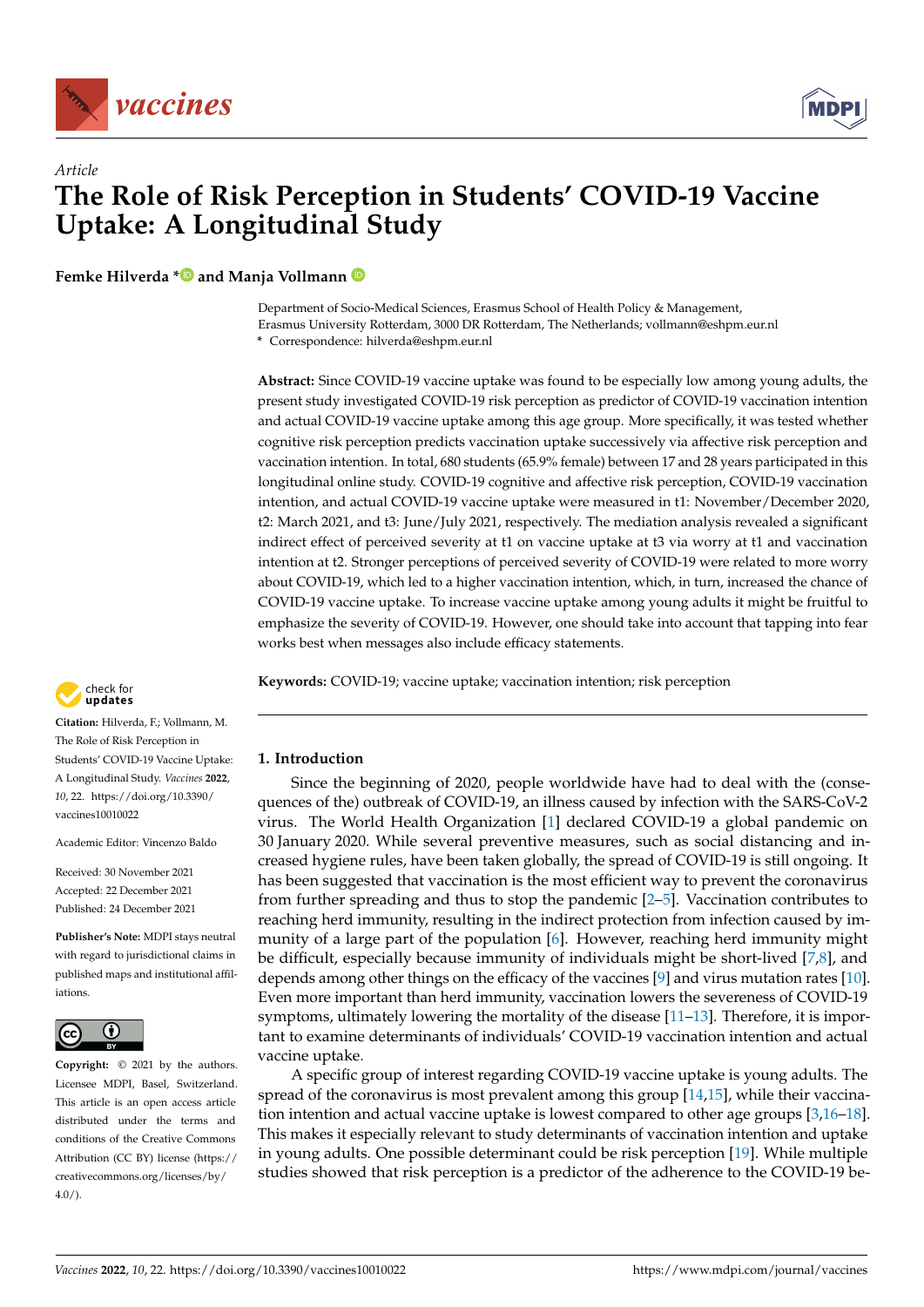



# *Article* **The Role of Risk Perception in Students' COVID-19 Vaccine Uptake: A Longitudinal Study**

**Femke Hilverda [\\*](https://orcid.org/0000-0002-7542-4508) and Manja Vollmann**

Department of Socio-Medical Sciences, Erasmus School of Health Policy & Management, Erasmus University Rotterdam, 3000 DR Rotterdam, The Netherlands; vollmann@eshpm.eur.nl

**\*** Correspondence: hilverda@eshpm.eur.nl

**Abstract:** Since COVID-19 vaccine uptake was found to be especially low among young adults, the present study investigated COVID-19 risk perception as predictor of COVID-19 vaccination intention and actual COVID-19 vaccine uptake among this age group. More specifically, it was tested whether cognitive risk perception predicts vaccination uptake successively via affective risk perception and vaccination intention. In total, 680 students (65.9% female) between 17 and 28 years participated in this longitudinal online study. COVID-19 cognitive and affective risk perception, COVID-19 vaccination intention, and actual COVID-19 vaccine uptake were measured in t1: November/December 2020, t2: March 2021, and t3: June/July 2021, respectively. The mediation analysis revealed a significant indirect effect of perceived severity at t1 on vaccine uptake at t3 via worry at t1 and vaccination intention at t2. Stronger perceptions of perceived severity of COVID-19 were related to more worry about COVID-19, which led to a higher vaccination intention, which, in turn, increased the chance of COVID-19 vaccine uptake. To increase vaccine uptake among young adults it might be fruitful to emphasize the severity of COVID-19. However, one should take into account that tapping into fear works best when messages also include efficacy statements.

**Keywords:** COVID-19; vaccine uptake; vaccination intention; risk perception



**Citation:** Hilverda, F.; Vollmann, M. The Role of Risk Perception in Students' COVID-19 Vaccine Uptake: A Longitudinal Study. *Vaccines* **2022**, *10*, 22. [https://doi.org/10.3390/](https://doi.org/10.3390/vaccines10010022) [vaccines10010022](https://doi.org/10.3390/vaccines10010022)

Academic Editor: Vincenzo Baldo

Received: 30 November 2021 Accepted: 22 December 2021 Published: 24 December 2021

**Publisher's Note:** MDPI stays neutral with regard to jurisdictional claims in published maps and institutional affiliations.



**Copyright:** © 2021 by the authors. Licensee MDPI, Basel, Switzerland. This article is an open access article distributed under the terms and conditions of the Creative Commons Attribution (CC BY) license [\(https://](https://creativecommons.org/licenses/by/4.0/) [creativecommons.org/licenses/by/](https://creativecommons.org/licenses/by/4.0/)  $4.0/$ ).

## **1. Introduction**

Since the beginning of 2020, people worldwide have had to deal with the (consequences of the) outbreak of COVID-19, an illness caused by infection with the SARS-CoV-2 virus. The World Health Organization [\[1\]](#page-6-0) declared COVID-19 a global pandemic on 30 January 2020. While several preventive measures, such as social distancing and increased hygiene rules, have been taken globally, the spread of COVID-19 is still ongoing. It has been suggested that vaccination is the most efficient way to prevent the coronavirus from further spreading and thus to stop the pandemic [\[2](#page-6-1)[–5\]](#page-7-0). Vaccination contributes to reaching herd immunity, resulting in the indirect protection from infection caused by immunity of a large part of the population [\[6\]](#page-7-1). However, reaching herd immunity might be difficult, especially because immunity of individuals might be short-lived [\[7](#page-7-2)[,8\]](#page-7-3), and depends among other things on the efficacy of the vaccines [\[9\]](#page-7-4) and virus mutation rates [\[10\]](#page-7-5). Even more important than herd immunity, vaccination lowers the severeness of COVID-19 symptoms, ultimately lowering the mortality of the disease  $[11-13]$  $[11-13]$ . Therefore, it is important to examine determinants of individuals' COVID-19 vaccination intention and actual vaccine uptake.

A specific group of interest regarding COVID-19 vaccine uptake is young adults. The spread of the coronavirus is most prevalent among this group [\[14](#page-7-8)[,15\]](#page-7-9), while their vaccination intention and actual vaccine uptake is lowest compared to other age groups [\[3](#page-7-10)[,16](#page-7-11)[–18\]](#page-7-12). This makes it especially relevant to study determinants of vaccination intention and uptake in young adults. One possible determinant could be risk perception [\[19\]](#page-7-13). While multiple studies showed that risk perception is a predictor of the adherence to the COVID-19 be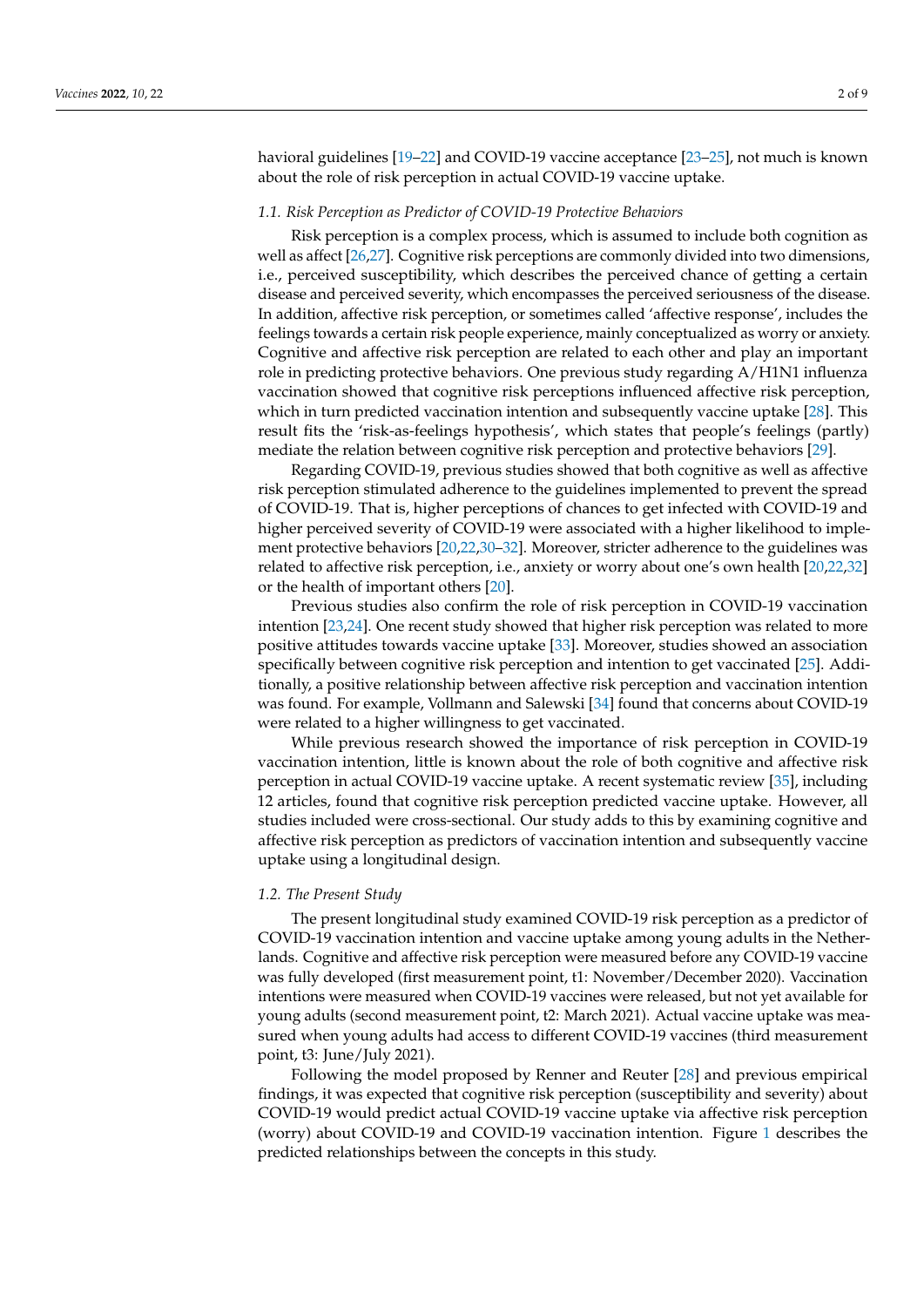havioral guidelines [\[19](#page-7-13)[–22\]](#page-7-14) and COVID-19 vaccine acceptance [\[23](#page-7-15)[–25\]](#page-7-16), not much is known about the role of risk perception in actual COVID-19 vaccine uptake.

#### *1.1. Risk Perception as Predictor of COVID-19 Protective Behaviors*

Risk perception is a complex process, which is assumed to include both cognition as well as affect [\[26](#page-7-17)[,27\]](#page-7-18). Cognitive risk perceptions are commonly divided into two dimensions, i.e., perceived susceptibility, which describes the perceived chance of getting a certain disease and perceived severity, which encompasses the perceived seriousness of the disease. In addition, affective risk perception, or sometimes called 'affective response', includes the feelings towards a certain risk people experience, mainly conceptualized as worry or anxiety. Cognitive and affective risk perception are related to each other and play an important role in predicting protective behaviors. One previous study regarding A/H1N1 influenza vaccination showed that cognitive risk perceptions influenced affective risk perception, which in turn predicted vaccination intention and subsequently vaccine uptake [\[28\]](#page-7-19). This result fits the 'risk-as-feelings hypothesis', which states that people's feelings (partly) mediate the relation between cognitive risk perception and protective behaviors [\[29\]](#page-7-20).

Regarding COVID-19, previous studies showed that both cognitive as well as affective risk perception stimulated adherence to the guidelines implemented to prevent the spread of COVID-19. That is, higher perceptions of chances to get infected with COVID-19 and higher perceived severity of COVID-19 were associated with a higher likelihood to implement protective behaviors [\[20](#page-7-21)[,22](#page-7-14)[,30](#page-8-0)[–32\]](#page-8-1). Moreover, stricter adherence to the guidelines was related to affective risk perception, i.e., anxiety or worry about one's own health [\[20,](#page-7-21)[22,](#page-7-14)[32\]](#page-8-1) or the health of important others [\[20\]](#page-7-21).

Previous studies also confirm the role of risk perception in COVID-19 vaccination intention [\[23](#page-7-15)[,24\]](#page-7-22). One recent study showed that higher risk perception was related to more positive attitudes towards vaccine uptake [\[33\]](#page-8-2). Moreover, studies showed an association specifically between cognitive risk perception and intention to get vaccinated [\[25\]](#page-7-16). Additionally, a positive relationship between affective risk perception and vaccination intention was found. For example, Vollmann and Salewski [\[34\]](#page-8-3) found that concerns about COVID-19 were related to a higher willingness to get vaccinated.

While previous research showed the importance of risk perception in COVID-19 vaccination intention, little is known about the role of both cognitive and affective risk perception in actual COVID-19 vaccine uptake. A recent systematic review [\[35\]](#page-8-4), including 12 articles, found that cognitive risk perception predicted vaccine uptake. However, all studies included were cross-sectional. Our study adds to this by examining cognitive and affective risk perception as predictors of vaccination intention and subsequently vaccine uptake using a longitudinal design.

#### *1.2. The Present Study*

The present longitudinal study examined COVID-19 risk perception as a predictor of COVID-19 vaccination intention and vaccine uptake among young adults in the Netherlands. Cognitive and affective risk perception were measured before any COVID-19 vaccine was fully developed (first measurement point, t1: November/December 2020). Vaccination intentions were measured when COVID-19 vaccines were released, but not yet available for young adults (second measurement point, t2: March 2021). Actual vaccine uptake was measured when young adults had access to different COVID-19 vaccines (third measurement point, t3: June/July 2021).

Following the model proposed by Renner and Reuter [\[28\]](#page-7-19) and previous empirical findings, it was expected that cognitive risk perception (susceptibility and severity) about COVID-19 would predict actual COVID-19 vaccine uptake via affective risk perception (worry) about COVID-19 and COVID-19 vaccination intention. Figure [1](#page-2-0) describes the predicted relationships between the concepts in this study.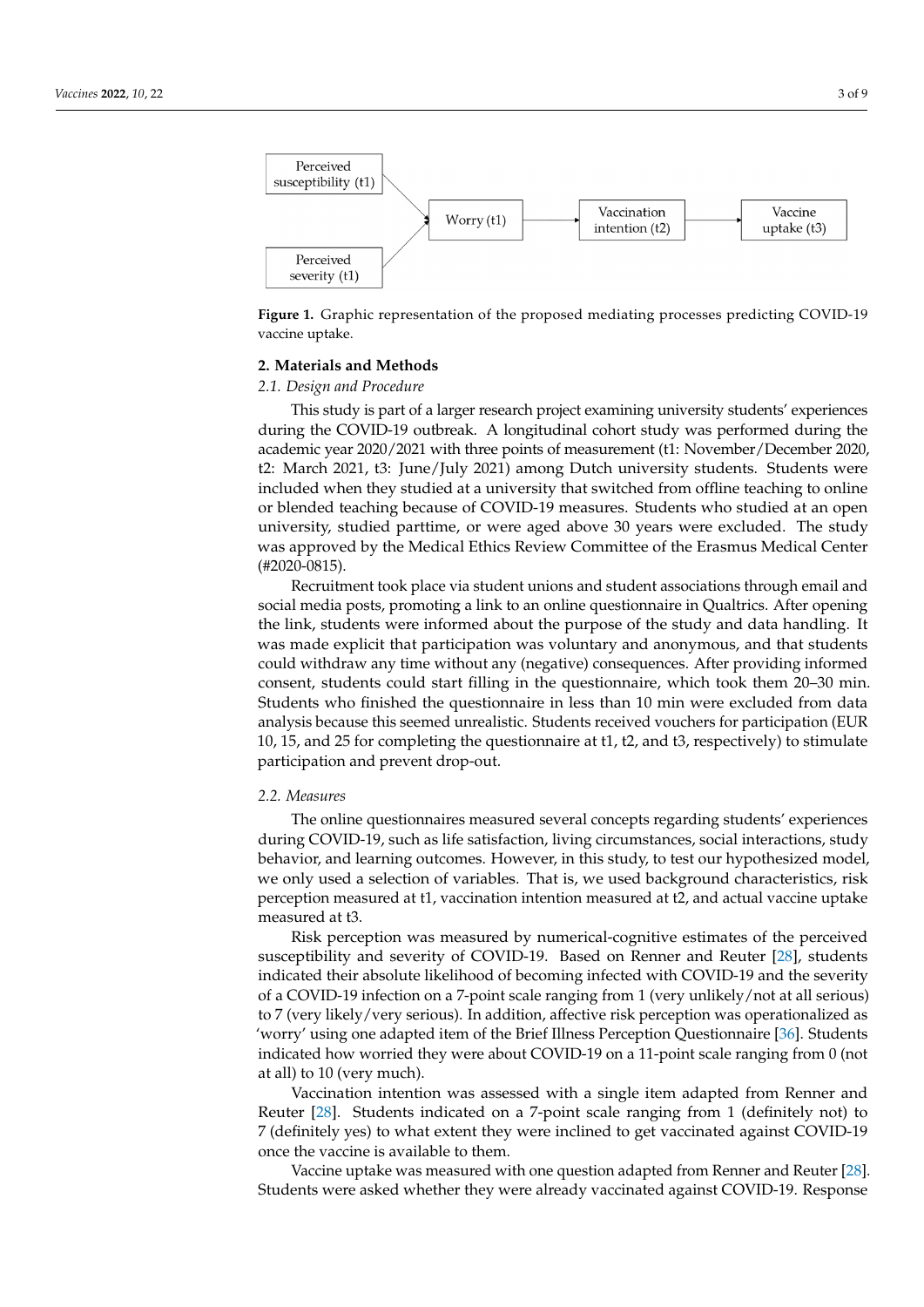<span id="page-2-0"></span>

Figure 1. Graphic representation of the proposed mediating processes predicting COVID-19 vaccine uptake.

## **2. Materials and Methods 2. Materials and Methods**

## *2.1. Design and Procedure 2.1. Design and Procedure*

This study is part of a larger research project examining university students' experiences during the COVID-19 outbreak. A longitudinal cohort study was performed during the the academic year 2020/2021 with three points of measurement (t1: November/December academic year 2020/2021 with three points of measurement (t1: November/December 2020, 2020, t2: March 2021, t3: June/July 2021) among Dutch university students. Students were t2: March 2021, t3: June/July 2021) among Dutch university students. Students were included when they studied at a university that switched from offline teaching to online included when they studied at a university that switched from offline teaching to online or blended teaching because of COVID-19 measures. Students who studied at an open or blended teaching because of COVID-19 measures. Students who studied at an open university, studied parttime, or were aged above 30 years were excluded. The study approved by the Medical Ethics Review Committee of the Erasmus Medical Center was approved by the Medical Ethics Review Committee of the Erasmus Medical Center (#2020-0815). (#2020-0815).

Recruitment took place via student unions and student associations through email Recruitment took place via student unions and student associations through email and social media posts, promoting a link to an online questionnaire in Qualtrics. After opening the link, students were informed about the purpose of the study and data handling. It was made explicit that participation was voluntary and anonymous, and that students could withdraw any time without any (negative) consequences. After providing informed consent, students could start filling in the questionnaire, which took them 20-30 min. Students who finished the questionnaire in less than 10 min were excluded from data analysis because this seemed unrealistic. Students received vouchers for participation (EUR 10, 15, and 25 for completing the questionnaire at t1, t2, and t3, respectively) to stimulate participation and prevent drop-out.

#### *2.2. Measures 2.2. Measures*

The online questionnaires measured several concepts regarding students' experiences during COVID-19, such as life satisfaction, living circumstances, social interactions, study behavior, and learning outcomes. However, in this study, to test our hypothesized model, we only used a selection of variables. That is, we used background characteristics, risk perception measured at t1, vaccination intention measured at t2, and actual vaccine uptake measured at t3.

Risk perception was measured by numerical-cognitive estimates of the perceived Risk perception was measured by numerical-cognitive estimates of the perceived susceptibility and severity of COVID-19. Based on Renner and Reuter [28], st[ude](#page-7-19)nts indicated their absolute likelihood of becoming infected with COVID-19 and the severity of a COVID-19 infection on a 7-point scale ranging from 1 (very unlikely/not at all serious) 7 (very likely/very serious). In addition, affective risk perception was operationalized as to 7 (very likely/very serious). In addition, affective risk perception was operationalized as 'worry' using one adapted item of the Brief Illness Perception Questionnaire [[36\].](#page-8-5) Students 'worry' using one adapted item of the Brief Illness Perception Questionnaire [36]. Students indicated how worried they were about COVID-19 on a 11-point scale ranging from 0 (not indicated how worried they were about COVID-19 on a 11-point scale ranging from 0 (not at all) to 10 (very much). at all) to 10 (very much).

Vaccination intention was assessed with a single item adapted from Renner and Reuter [28][. St](#page-7-19)udents indicated on a 7-point scale ranging from 1 (definitely not) to 7 (definitely yes) to what extent they were inclined to get vaccinated against COVID-19 once the vaccine is available to them.

Vaccine uptake was measured with one question adapted from Renner and Reuter Vaccine uptake was measured with one question adapted from Renner and Reuter [\[28\]](#page-7-19). [28]. Students were asked whether they were already vaccinated against COVID-19. Students were asked whether they were already vaccinated against COVID-19. Response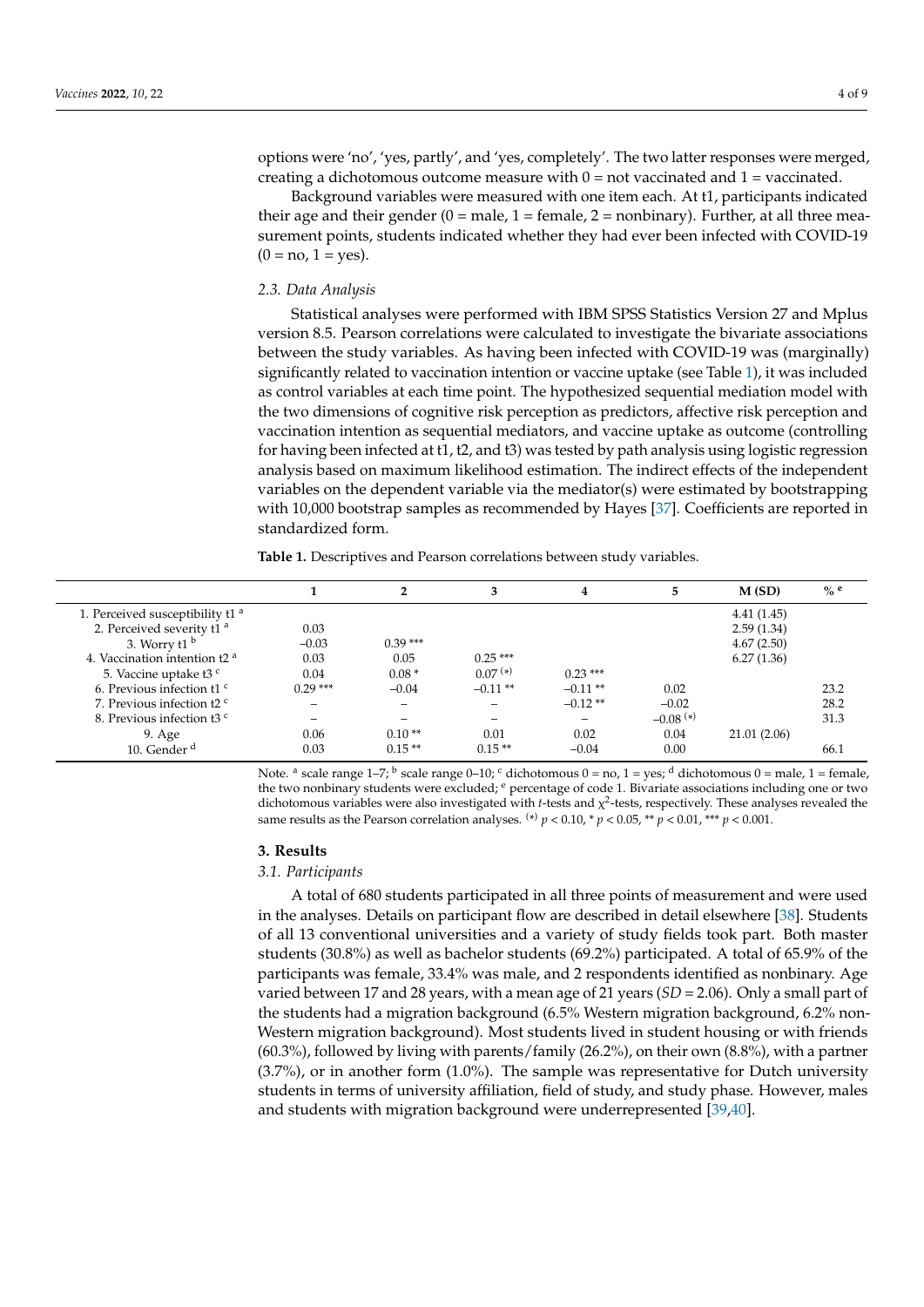options were 'no', 'yes, partly', and 'yes, completely'. The two latter responses were merged, creating a dichotomous outcome measure with  $0 =$  not vaccinated and  $1 =$  vaccinated.

Background variables were measured with one item each. At t1, participants indicated their age and their gender  $(0 = male, 1 = female, 2 = nonbinary)$ . Further, at all three measurement points, students indicated whether they had ever been infected with COVID-19  $(0 = no, 1 = yes).$ 

#### *2.3. Data Analysis*

Statistical analyses were performed with IBM SPSS Statistics Version 27 and Mplus version 8.5. Pearson correlations were calculated to investigate the bivariate associations between the study variables. As having been infected with COVID-19 was (marginally) significantly related to vaccination intention or vaccine uptake (see Table [1\)](#page-3-0), it was included as control variables at each time point. The hypothesized sequential mediation model with the two dimensions of cognitive risk perception as predictors, affective risk perception and vaccination intention as sequential mediators, and vaccine uptake as outcome (controlling for having been infected at t1, t2, and t3) was tested by path analysis using logistic regression analysis based on maximum likelihood estimation. The indirect effects of the independent variables on the dependent variable via the mediator(s) were estimated by bootstrapping with 10,000 bootstrap samples as recommended by Hayes [\[37\]](#page-8-6). Coefficients are reported in standardized form.

<span id="page-3-0"></span>**Table 1.** Descriptives and Pearson correlations between study variables.

|                                             |           | n,        | 3                        | 4          |                        | M(SD)       | $\%$ e |
|---------------------------------------------|-----------|-----------|--------------------------|------------|------------------------|-------------|--------|
| 1. Perceived susceptibility t1 <sup>a</sup> |           |           |                          |            |                        | 4.41(1.45)  |        |
| 2. Perceived severity t1 <sup>a</sup>       | 0.03      |           |                          |            |                        | 2.59(1.34)  |        |
| 3. Worry t1 $b$                             | $-0.03$   | $0.39***$ |                          |            |                        | 4.67(2.50)  |        |
| 4. Vaccination intention t2 <sup>a</sup>    | 0.03      | 0.05      | $0.25***$                |            |                        | 6.27(1.36)  |        |
| 5. Vaccine uptake t3 c                      | 0.04      | $0.08*$   | $0.07(*)$                | $0.23***$  |                        |             |        |
| 6. Previous infection $t1c$                 | $0.29***$ | $-0.04$   | $-0.11$ **               | $-0.11$ ** | 0.02                   |             | 23.2   |
| 7. Previous infection t2 <sup>c</sup>       |           |           | $\overline{\phantom{0}}$ | $-0.12**$  | $-0.02$                |             | 28.2   |
| 8. Previous infection t3 <sup>c</sup>       |           |           |                          |            | $-0.08$ <sup>(*)</sup> |             | 31.3   |
| 9. Age                                      | 0.06      | $0.10**$  | 0.01                     | 0.02       | 0.04                   | 21.01(2.06) |        |
| 10. Gender <sup>d</sup>                     | 0.03      | $0.15**$  | $0.15**$                 | $-0.04$    | 0.00                   |             | 66.1   |

Note. <sup>a</sup> scale range 1–7; <sup>b</sup> scale range 0–10; <sup>c</sup> dichotomous 0 = no, 1 = yes; <sup>d</sup> dichotomous 0 = male, 1 = female, the two nonbinary students were excluded;  $e$  percentage of code 1. Bivariate associations including one or two dichotomous variables were also investigated with *t*-tests and  $\chi^2$ -tests, respectively. These analyses revealed the same results as the Pearson correlation analyses.  $^{(*)}$   $p < 0.10$ ,  $^{*}$   $p < 0.05$ ,  $^{**}$   $p < 0.01$ ,  $^{***}$   $p < 0.001$ .

#### **3. Results**

#### *3.1. Participants*

A total of 680 students participated in all three points of measurement and were used in the analyses. Details on participant flow are described in detail elsewhere [\[38\]](#page-8-7). Students of all 13 conventional universities and a variety of study fields took part. Both master students (30.8%) as well as bachelor students (69.2%) participated. A total of 65.9% of the participants was female, 33.4% was male, and 2 respondents identified as nonbinary. Age varied between 17 and 28 years, with a mean age of 21 years (*SD* = 2.06). Only a small part of the students had a migration background (6.5% Western migration background, 6.2% non-Western migration background). Most students lived in student housing or with friends (60.3%), followed by living with parents/family (26.2%), on their own (8.8%), with a partner (3.7%), or in another form (1.0%). The sample was representative for Dutch university students in terms of university affiliation, field of study, and study phase. However, males and students with migration background were underrepresented [\[39,](#page-8-8)[40\]](#page-8-9).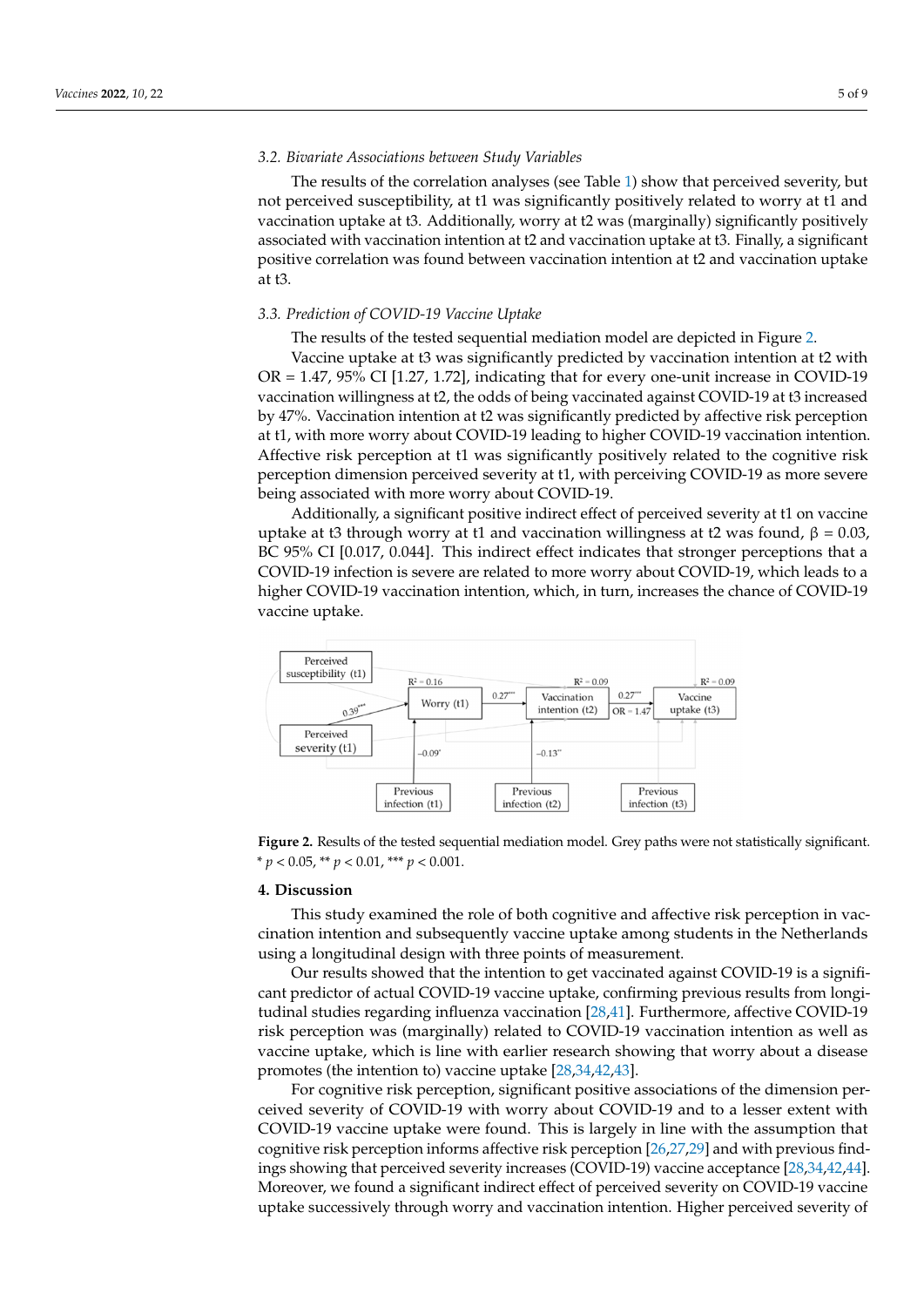## *3.2. Bivariate Associations between Study Variables*

The results of the correlation analyses (see Table 1) show that perceived severity, but not perceived susceptibility, at t1 was significantly positively related to worry at t1 and vaccination uptake at t3. Additionally, worry at t2 was (marginally) significantly positively associated with vaccination intention at t2 and vaccination uptake at t3. Finally, a significant positive correlation was found between vaccination intention at t2 and vaccination uptake at t3.

## 3.3. Prediction of COVID-19 Vaccine Uptake

The results of the tested sequential medi[at](#page-4-0)ion model are depicted in Figure 2.

Vaccine uptake at t3 was significantly predicted by vaccination intention at t2 with  $OR = 1.47$ , 95% CI [1.27, 1.72], indicating that for every one-unit increase in COVID-19 vaccination willingness at t2, the odds of being vaccinated against COVID-19 at t3 increased by 47%. Vaccination intention at t2 was significantly predicted by affective risk perception at t1, with more worry about COVID-19 leading to higher COVID-19 vaccination intention. Affective risk perception at t1 was significantly positively related to the cognitive risk perception dimension perceived severity at t1, with perceiving COVID-19 as more severe being associated with more worry about COVID-19.

Additionally, a significant positive indirect effect of perceived severity at t1 on vaccine<br>cine up to the original will be a completed with a specific second, and values of a specific second, and second, β = 0.03, and se uptake at t3 through worry at t1 and vaccination willingness at t2 was found,  $β = 0.03$ ,<br>BC 95% CU  $50.017, 0.044$ . This indicates that all that all that all that all that all the stronger perceptions that all the strong BC 95% CI [0.017, 0.044]. This indirect effect indicates that stronger perceptions that a<br>COVID-19, which leads to more working to more working to more worry about leads to more working to more worst COVID-19 infection is severe are related to more worry about COVID-19, which leads to a<br>a higher coving 19 higher COVID-19 vaccination intention, which, in turn, increases the chance of COVID-19 vaccine uptake.

<span id="page-4-0"></span>

Figure 2. Results of the tested sequential mediation model. Grey paths were not statistically significant.  $i^* p < 0.05$ ,  $i^* p < 0.01$ ,  $i^{**} p < 0.001$ .

## **4. Discussion 4. Discussion**

This study examined the role of both cognitive and affective risk perception in vac-This study examined the role of both cognitive and affective risk perception in vaccination intention and subsequently vaccine uptake among students in the Netherlands cination intention and subsequently vaccine uptake among students in the Netherlands using a longitudinal design with three points of measurement. using a longitudinal design with three points of measurement.

Our results showed that the intention to get vaccinated against COVID-19 is a signif-Our results showed that the intention to get vaccinated against COVID-19 is a significant predictor of actual COVID-19 vaccine uptake, confirming previous results from longi-tudinal studies regarding influenza vaccination [\[28,](#page-7-19)[41\]](#page-8-10). Furthermore, affective COVID-19 risk perception was (marginally) related to COVID-19 vaccination intention as well as vaccine uptake, which is line with earlier research showing that worry about a disease vaccine uptake, which is line with earlier research showing that worry about a disease promotes (the intention to) vaccine uptake [28,34,42,43]. promotes (the intention to) vaccine uptake [\[28](#page-7-19)[,34](#page-8-3)[,42](#page-8-11)[,43\]](#page-8-12).

For cognitive risk perception, significant positive associations of the dimension perceived severity of COVID-19 with worry about COVID-19 and to a lesser extent with ceived severity of COVID-19 with worry about COVID-19 and to a lesser extent with COVID-19 vaccine uptake were found. This is largely in line with the assumption that COVID-19 vaccine uptake were found. This is largely in line with the assumption that cognitive risk perception informs affective risk perception [\[26,](#page-7-17)[27,](#page-7-18)[29\]](#page-7-20) and with previous findings showing that perceived severity increases (COVID-19) vaccine acceptance [\[28,](#page-7-19)[34,](#page-8-3)[42](#page-8-11)[,44\]](#page-8-13). Moreover, we found a significant indirect effect of perceived severity on COVID-19 vaccine uptake successively through worry and vaccination intention. Higher perceived severity of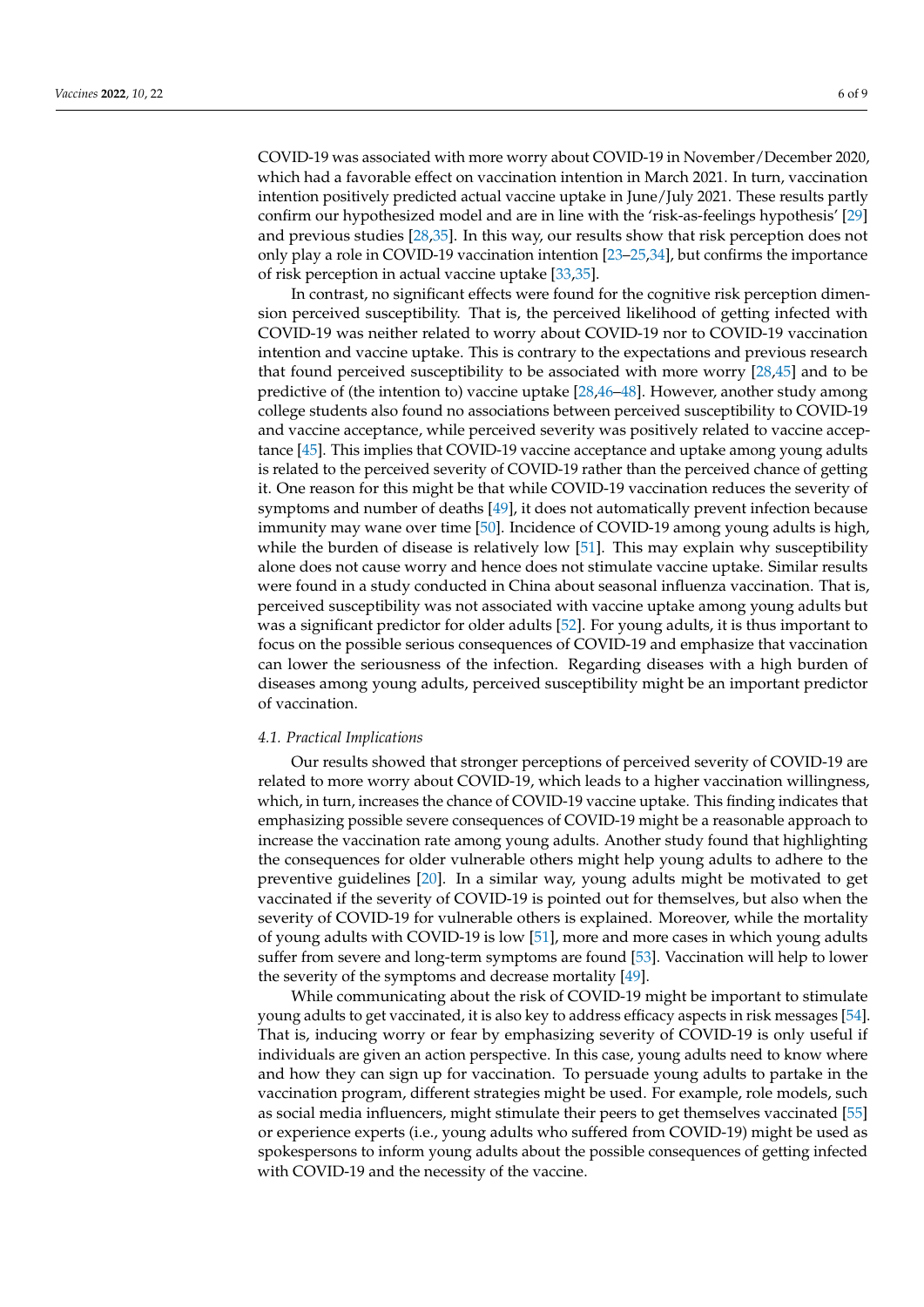COVID-19 was associated with more worry about COVID-19 in November/December 2020, which had a favorable effect on vaccination intention in March 2021. In turn, vaccination intention positively predicted actual vaccine uptake in June/July 2021. These results partly confirm our hypothesized model and are in line with the 'risk-as-feelings hypothesis' [\[29\]](#page-7-20) and previous studies [\[28](#page-7-19)[,35\]](#page-8-4). In this way, our results show that risk perception does not only play a role in COVID-19 vaccination intention [\[23](#page-7-15)[–25,](#page-7-16)[34\]](#page-8-3), but confirms the importance of risk perception in actual vaccine uptake [\[33,](#page-8-2)[35\]](#page-8-4).

In contrast, no significant effects were found for the cognitive risk perception dimension perceived susceptibility. That is, the perceived likelihood of getting infected with COVID-19 was neither related to worry about COVID-19 nor to COVID-19 vaccination intention and vaccine uptake. This is contrary to the expectations and previous research that found perceived susceptibility to be associated with more worry [\[28](#page-7-19)[,45\]](#page-8-14) and to be predictive of (the intention to) vaccine uptake [\[28](#page-7-19)[,46](#page-8-15)[–48\]](#page-8-16). However, another study among college students also found no associations between perceived susceptibility to COVID-19 and vaccine acceptance, while perceived severity was positively related to vaccine acceptance [\[45\]](#page-8-14). This implies that COVID-19 vaccine acceptance and uptake among young adults is related to the perceived severity of COVID-19 rather than the perceived chance of getting it. One reason for this might be that while COVID-19 vaccination reduces the severity of symptoms and number of deaths [\[49\]](#page-8-17), it does not automatically prevent infection because immunity may wane over time [\[50\]](#page-8-18). Incidence of COVID-19 among young adults is high, while the burden of disease is relatively low [\[51\]](#page-8-19). This may explain why susceptibility alone does not cause worry and hence does not stimulate vaccine uptake. Similar results were found in a study conducted in China about seasonal influenza vaccination. That is, perceived susceptibility was not associated with vaccine uptake among young adults but was a significant predictor for older adults [\[52\]](#page-8-20). For young adults, it is thus important to focus on the possible serious consequences of COVID-19 and emphasize that vaccination can lower the seriousness of the infection. Regarding diseases with a high burden of diseases among young adults, perceived susceptibility might be an important predictor of vaccination.

#### *4.1. Practical Implications*

Our results showed that stronger perceptions of perceived severity of COVID-19 are related to more worry about COVID-19, which leads to a higher vaccination willingness, which, in turn, increases the chance of COVID-19 vaccine uptake. This finding indicates that emphasizing possible severe consequences of COVID-19 might be a reasonable approach to increase the vaccination rate among young adults. Another study found that highlighting the consequences for older vulnerable others might help young adults to adhere to the preventive guidelines [\[20\]](#page-7-21). In a similar way, young adults might be motivated to get vaccinated if the severity of COVID-19 is pointed out for themselves, but also when the severity of COVID-19 for vulnerable others is explained. Moreover, while the mortality of young adults with COVID-19 is low [\[51\]](#page-8-19), more and more cases in which young adults suffer from severe and long-term symptoms are found [\[53\]](#page-8-21). Vaccination will help to lower the severity of the symptoms and decrease mortality [\[49\]](#page-8-17).

While communicating about the risk of COVID-19 might be important to stimulate young adults to get vaccinated, it is also key to address efficacy aspects in risk messages [\[54\]](#page-8-22). That is, inducing worry or fear by emphasizing severity of COVID-19 is only useful if individuals are given an action perspective. In this case, young adults need to know where and how they can sign up for vaccination. To persuade young adults to partake in the vaccination program, different strategies might be used. For example, role models, such as social media influencers, might stimulate their peers to get themselves vaccinated [\[55\]](#page-8-23) or experience experts (i.e., young adults who suffered from COVID-19) might be used as spokespersons to inform young adults about the possible consequences of getting infected with COVID-19 and the necessity of the vaccine.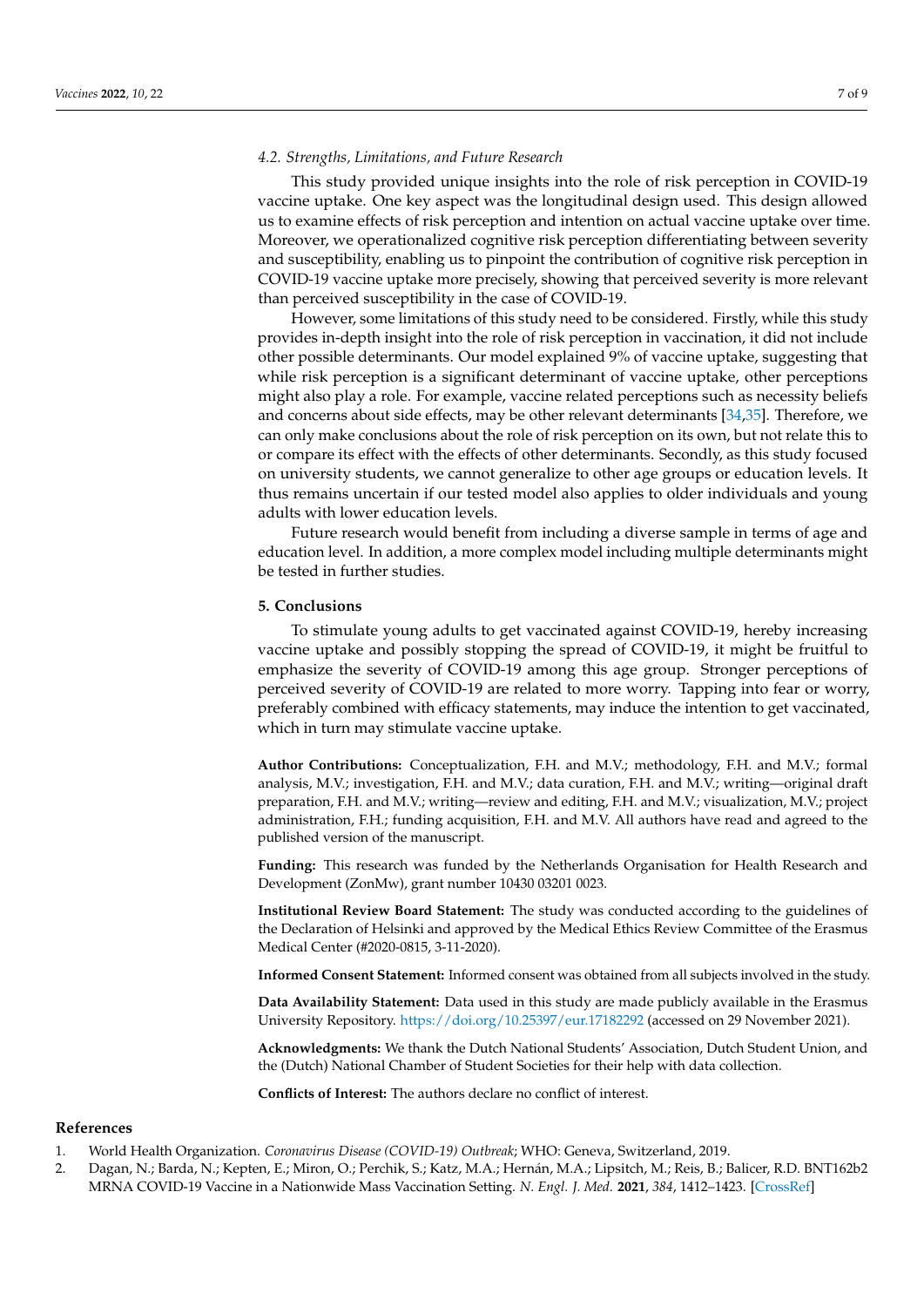#### *4.2. Strengths, Limitations, and Future Research*

This study provided unique insights into the role of risk perception in COVID-19 vaccine uptake. One key aspect was the longitudinal design used. This design allowed us to examine effects of risk perception and intention on actual vaccine uptake over time. Moreover, we operationalized cognitive risk perception differentiating between severity and susceptibility, enabling us to pinpoint the contribution of cognitive risk perception in COVID-19 vaccine uptake more precisely, showing that perceived severity is more relevant than perceived susceptibility in the case of COVID-19.

However, some limitations of this study need to be considered. Firstly, while this study provides in-depth insight into the role of risk perception in vaccination, it did not include other possible determinants. Our model explained 9% of vaccine uptake, suggesting that while risk perception is a significant determinant of vaccine uptake, other perceptions might also play a role. For example, vaccine related perceptions such as necessity beliefs and concerns about side effects, may be other relevant determinants [\[34,](#page-8-3)[35\]](#page-8-4). Therefore, we can only make conclusions about the role of risk perception on its own, but not relate this to or compare its effect with the effects of other determinants. Secondly, as this study focused on university students, we cannot generalize to other age groups or education levels. It thus remains uncertain if our tested model also applies to older individuals and young adults with lower education levels.

Future research would benefit from including a diverse sample in terms of age and education level. In addition, a more complex model including multiple determinants might be tested in further studies.

### **5. Conclusions**

To stimulate young adults to get vaccinated against COVID-19, hereby increasing vaccine uptake and possibly stopping the spread of COVID-19, it might be fruitful to emphasize the severity of COVID-19 among this age group. Stronger perceptions of perceived severity of COVID-19 are related to more worry. Tapping into fear or worry, preferably combined with efficacy statements, may induce the intention to get vaccinated, which in turn may stimulate vaccine uptake.

**Author Contributions:** Conceptualization, F.H. and M.V.; methodology, F.H. and M.V.; formal analysis, M.V.; investigation, F.H. and M.V.; data curation, F.H. and M.V.; writing—original draft preparation, F.H. and M.V.; writing—review and editing, F.H. and M.V.; visualization, M.V.; project administration, F.H.; funding acquisition, F.H. and M.V. All authors have read and agreed to the published version of the manuscript.

**Funding:** This research was funded by the Netherlands Organisation for Health Research and Development (ZonMw), grant number 10430 03201 0023.

**Institutional Review Board Statement:** The study was conducted according to the guidelines of the Declaration of Helsinki and approved by the Medical Ethics Review Committee of the Erasmus Medical Center (#2020-0815, 3-11-2020).

**Informed Consent Statement:** Informed consent was obtained from all subjects involved in the study.

**Data Availability Statement:** Data used in this study are made publicly available in the Erasmus University Repository. <https://doi.org/10.25397/eur.17182292> (accessed on 29 November 2021).

**Acknowledgments:** We thank the Dutch National Students' Association, Dutch Student Union, and the (Dutch) National Chamber of Student Societies for their help with data collection.

**Conflicts of Interest:** The authors declare no conflict of interest.

## **References**

- <span id="page-6-0"></span>1. World Health Organization. *Coronavirus Disease (COVID-19) Outbreak*; WHO: Geneva, Switzerland, 2019.
- <span id="page-6-1"></span>2. Dagan, N.; Barda, N.; Kepten, E.; Miron, O.; Perchik, S.; Katz, M.A.; Hernán, M.A.; Lipsitch, M.; Reis, B.; Balicer, R.D. BNT162b2 MRNA COVID-19 Vaccine in a Nationwide Mass Vaccination Setting. *N. Engl. J. Med.* **2021**, *384*, 1412–1423. [\[CrossRef\]](http://doi.org/10.1056/NEJMoa2101765)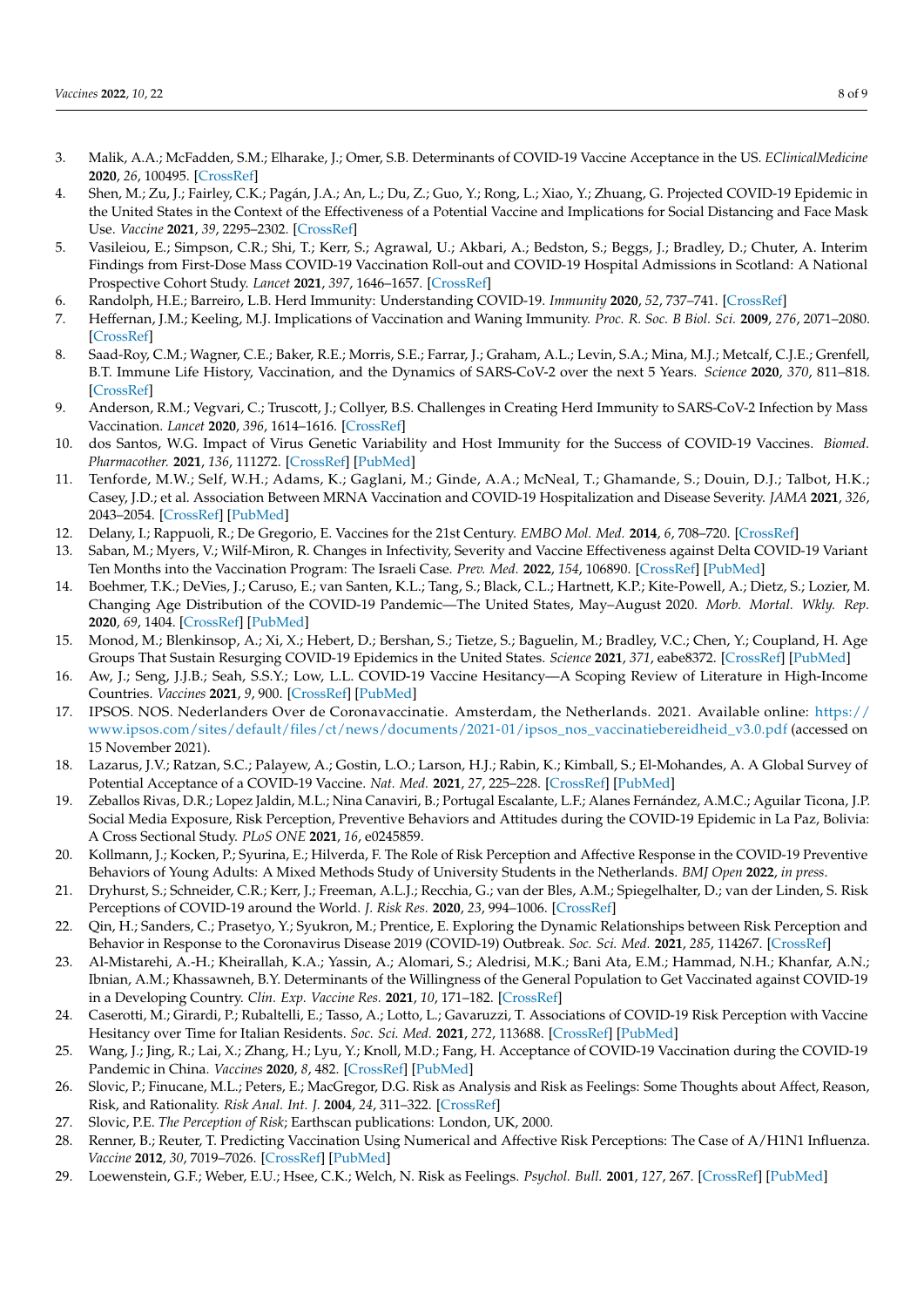- <span id="page-7-10"></span>3. Malik, A.A.; McFadden, S.M.; Elharake, J.; Omer, S.B. Determinants of COVID-19 Vaccine Acceptance in the US. *EClinicalMedicine* **2020**, *26*, 100495. [\[CrossRef\]](http://doi.org/10.1016/j.eclinm.2020.100495)
- 4. Shen, M.; Zu, J.; Fairley, C.K.; Pagán, J.A.; An, L.; Du, Z.; Guo, Y.; Rong, L.; Xiao, Y.; Zhuang, G. Projected COVID-19 Epidemic in the United States in the Context of the Effectiveness of a Potential Vaccine and Implications for Social Distancing and Face Mask Use. *Vaccine* **2021**, *39*, 2295–2302. [\[CrossRef\]](http://doi.org/10.1016/j.vaccine.2021.02.056)
- <span id="page-7-0"></span>5. Vasileiou, E.; Simpson, C.R.; Shi, T.; Kerr, S.; Agrawal, U.; Akbari, A.; Bedston, S.; Beggs, J.; Bradley, D.; Chuter, A. Interim Findings from First-Dose Mass COVID-19 Vaccination Roll-out and COVID-19 Hospital Admissions in Scotland: A National Prospective Cohort Study. *Lancet* **2021**, *397*, 1646–1657. [\[CrossRef\]](http://doi.org/10.1016/S0140-6736(21)00677-2)
- <span id="page-7-1"></span>6. Randolph, H.E.; Barreiro, L.B. Herd Immunity: Understanding COVID-19. *Immunity* **2020**, *52*, 737–741. [\[CrossRef\]](http://doi.org/10.1016/j.immuni.2020.04.012)
- <span id="page-7-2"></span>7. Heffernan, J.M.; Keeling, M.J. Implications of Vaccination and Waning Immunity. *Proc. R. Soc. B Biol. Sci.* **2009**, *276*, 2071–2080. [\[CrossRef\]](http://doi.org/10.1098/rspb.2009.0057)
- <span id="page-7-3"></span>8. Saad-Roy, C.M.; Wagner, C.E.; Baker, R.E.; Morris, S.E.; Farrar, J.; Graham, A.L.; Levin, S.A.; Mina, M.J.; Metcalf, C.J.E.; Grenfell, B.T. Immune Life History, Vaccination, and the Dynamics of SARS-CoV-2 over the next 5 Years. *Science* **2020**, *370*, 811–818. [\[CrossRef\]](http://doi.org/10.1126/science.abd7343)
- <span id="page-7-4"></span>9. Anderson, R.M.; Vegvari, C.; Truscott, J.; Collyer, B.S. Challenges in Creating Herd Immunity to SARS-CoV-2 Infection by Mass Vaccination. *Lancet* **2020**, *396*, 1614–1616. [\[CrossRef\]](http://doi.org/10.1016/S0140-6736(20)32318-7)
- <span id="page-7-5"></span>10. dos Santos, W.G. Impact of Virus Genetic Variability and Host Immunity for the Success of COVID-19 Vaccines. *Biomed. Pharmacother.* **2021**, *136*, 111272. [\[CrossRef\]](http://doi.org/10.1016/j.biopha.2021.111272) [\[PubMed\]](http://www.ncbi.nlm.nih.gov/pubmed/33486212)
- <span id="page-7-6"></span>11. Tenforde, M.W.; Self, W.H.; Adams, K.; Gaglani, M.; Ginde, A.A.; McNeal, T.; Ghamande, S.; Douin, D.J.; Talbot, H.K.; Casey, J.D.; et al. Association Between MRNA Vaccination and COVID-19 Hospitalization and Disease Severity. *JAMA* **2021**, *326*, 2043–2054. [\[CrossRef\]](http://doi.org/10.1001/jama.2021.19499) [\[PubMed\]](http://www.ncbi.nlm.nih.gov/pubmed/34734975)
- 12. Delany, I.; Rappuoli, R.; De Gregorio, E. Vaccines for the 21st Century. *EMBO Mol. Med.* **2014**, *6*, 708–720. [\[CrossRef\]](http://doi.org/10.1002/emmm.201403876)
- <span id="page-7-7"></span>13. Saban, M.; Myers, V.; Wilf-Miron, R. Changes in Infectivity, Severity and Vaccine Effectiveness against Delta COVID-19 Variant Ten Months into the Vaccination Program: The Israeli Case. *Prev. Med.* **2022**, *154*, 106890. [\[CrossRef\]](http://doi.org/10.1016/j.ypmed.2021.106890) [\[PubMed\]](http://www.ncbi.nlm.nih.gov/pubmed/34800471)
- <span id="page-7-8"></span>14. Boehmer, T.K.; DeVies, J.; Caruso, E.; van Santen, K.L.; Tang, S.; Black, C.L.; Hartnett, K.P.; Kite-Powell, A.; Dietz, S.; Lozier, M. Changing Age Distribution of the COVID-19 Pandemic—The United States, May–August 2020. *Morb. Mortal. Wkly. Rep.* **2020**, *69*, 1404. [\[CrossRef\]](http://doi.org/10.15585/mmwr.mm6939e1) [\[PubMed\]](http://www.ncbi.nlm.nih.gov/pubmed/33001872)
- <span id="page-7-9"></span>15. Monod, M.; Blenkinsop, A.; Xi, X.; Hebert, D.; Bershan, S.; Tietze, S.; Baguelin, M.; Bradley, V.C.; Chen, Y.; Coupland, H. Age Groups That Sustain Resurging COVID-19 Epidemics in the United States. *Science* **2021**, *371*, eabe8372. [\[CrossRef\]](http://doi.org/10.1126/science.abe8372) [\[PubMed\]](http://www.ncbi.nlm.nih.gov/pubmed/33531384)
- <span id="page-7-11"></span>16. Aw, J.; Seng, J.J.B.; Seah, S.S.Y.; Low, L.L. COVID-19 Vaccine Hesitancy—A Scoping Review of Literature in High-Income Countries. *Vaccines* **2021**, *9*, 900. [\[CrossRef\]](http://doi.org/10.3390/vaccines9080900) [\[PubMed\]](http://www.ncbi.nlm.nih.gov/pubmed/34452026)
- 17. IPSOS. NOS. Nederlanders Over de Coronavaccinatie. Amsterdam, the Netherlands. 2021. Available online: [https://](https://www.ipsos.com/sites/default/files/ct/news/documents/2021-01/ipsos_nos_vaccinatiebereidheid_v3.0.pdf) [www.ipsos.com/sites/default/files/ct/news/documents/2021-01/ipsos\\_nos\\_vaccinatiebereidheid\\_v3.0.pdf](https://www.ipsos.com/sites/default/files/ct/news/documents/2021-01/ipsos_nos_vaccinatiebereidheid_v3.0.pdf) (accessed on 15 November 2021).
- <span id="page-7-12"></span>18. Lazarus, J.V.; Ratzan, S.C.; Palayew, A.; Gostin, L.O.; Larson, H.J.; Rabin, K.; Kimball, S.; El-Mohandes, A. A Global Survey of Potential Acceptance of a COVID-19 Vaccine. *Nat. Med.* **2021**, *27*, 225–228. [\[CrossRef\]](http://doi.org/10.1038/s41591-020-1124-9) [\[PubMed\]](http://www.ncbi.nlm.nih.gov/pubmed/33082575)
- <span id="page-7-13"></span>19. Zeballos Rivas, D.R.; Lopez Jaldin, M.L.; Nina Canaviri, B.; Portugal Escalante, L.F.; Alanes Fernández, A.M.C.; Aguilar Ticona, J.P. Social Media Exposure, Risk Perception, Preventive Behaviors and Attitudes during the COVID-19 Epidemic in La Paz, Bolivia: A Cross Sectional Study. *PLoS ONE* **2021**, *16*, e0245859.
- <span id="page-7-21"></span>20. Kollmann, J.; Kocken, P.; Syurina, E.; Hilverda, F. The Role of Risk Perception and Affective Response in the COVID-19 Preventive Behaviors of Young Adults: A Mixed Methods Study of University Students in the Netherlands. *BMJ Open* **2022**, *in press*.
- 21. Dryhurst, S.; Schneider, C.R.; Kerr, J.; Freeman, A.L.J.; Recchia, G.; van der Bles, A.M.; Spiegelhalter, D.; van der Linden, S. Risk Perceptions of COVID-19 around the World. *J. Risk Res.* **2020**, *23*, 994–1006. [\[CrossRef\]](http://doi.org/10.1080/13669877.2020.1758193)
- <span id="page-7-14"></span>22. Qin, H.; Sanders, C.; Prasetyo, Y.; Syukron, M.; Prentice, E. Exploring the Dynamic Relationships between Risk Perception and Behavior in Response to the Coronavirus Disease 2019 (COVID-19) Outbreak. *Soc. Sci. Med.* **2021**, *285*, 114267. [\[CrossRef\]](http://doi.org/10.1016/j.socscimed.2021.114267)
- <span id="page-7-15"></span>23. Al-Mistarehi, A.-H.; Kheirallah, K.A.; Yassin, A.; Alomari, S.; Aledrisi, M.K.; Bani Ata, E.M.; Hammad, N.H.; Khanfar, A.N.; Ibnian, A.M.; Khassawneh, B.Y. Determinants of the Willingness of the General Population to Get Vaccinated against COVID-19 in a Developing Country. *Clin. Exp. Vaccine Res.* **2021**, *10*, 171–182. [\[CrossRef\]](http://doi.org/10.7774/cevr.2021.10.2.171)
- <span id="page-7-22"></span>24. Caserotti, M.; Girardi, P.; Rubaltelli, E.; Tasso, A.; Lotto, L.; Gavaruzzi, T. Associations of COVID-19 Risk Perception with Vaccine Hesitancy over Time for Italian Residents. *Soc. Sci. Med.* **2021**, *272*, 113688. [\[CrossRef\]](http://doi.org/10.1016/j.socscimed.2021.113688) [\[PubMed\]](http://www.ncbi.nlm.nih.gov/pubmed/33485215)
- <span id="page-7-16"></span>25. Wang, J.; Jing, R.; Lai, X.; Zhang, H.; Lyu, Y.; Knoll, M.D.; Fang, H. Acceptance of COVID-19 Vaccination during the COVID-19 Pandemic in China. *Vaccines* **2020**, *8*, 482. [\[CrossRef\]](http://doi.org/10.3390/vaccines8030482) [\[PubMed\]](http://www.ncbi.nlm.nih.gov/pubmed/32867224)
- <span id="page-7-17"></span>26. Slovic, P.; Finucane, M.L.; Peters, E.; MacGregor, D.G. Risk as Analysis and Risk as Feelings: Some Thoughts about Affect, Reason, Risk, and Rationality. *Risk Anal. Int. J.* **2004**, *24*, 311–322. [\[CrossRef\]](http://doi.org/10.1111/j.0272-4332.2004.00433.x)
- <span id="page-7-18"></span>27. Slovic, P.E. *The Perception of Risk*; Earthscan publications: London, UK, 2000.
- <span id="page-7-19"></span>28. Renner, B.; Reuter, T. Predicting Vaccination Using Numerical and Affective Risk Perceptions: The Case of A/H1N1 Influenza. *Vaccine* **2012**, *30*, 7019–7026. [\[CrossRef\]](http://doi.org/10.1016/j.vaccine.2012.09.064) [\[PubMed\]](http://www.ncbi.nlm.nih.gov/pubmed/23046542)
- <span id="page-7-20"></span>29. Loewenstein, G.F.; Weber, E.U.; Hsee, C.K.; Welch, N. Risk as Feelings. *Psychol. Bull.* **2001**, *127*, 267. [\[CrossRef\]](http://doi.org/10.1037/0033-2909.127.2.267) [\[PubMed\]](http://www.ncbi.nlm.nih.gov/pubmed/11316014)